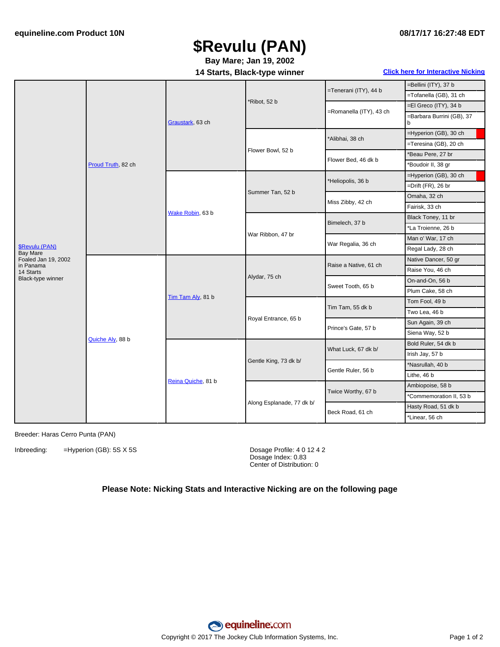## **\$Revulu (PAN)**

**Bay Mare; Jan 19, 2002**

**14 Starts, Black-type winner Click here for [Interactive](#page-1-0) Nicking**

|                                                                                                                | Proud Truth, 82 ch | Graustark, 63 ch   | *Ribot, 52 b              | =Tenerani (ITY), 44 b   | =Bellini (ITY), 37 b           |
|----------------------------------------------------------------------------------------------------------------|--------------------|--------------------|---------------------------|-------------------------|--------------------------------|
|                                                                                                                |                    |                    |                           |                         | =Tofanella (GB), 31 ch         |
|                                                                                                                |                    |                    |                           | =Romanella (ITY), 43 ch | =El Greco (ITY), 34 b          |
|                                                                                                                |                    |                    |                           |                         | =Barbara Burrini (GB), 37<br>b |
|                                                                                                                |                    |                    | Flower Bowl, 52 b         | *Alibhai, 38 ch         | =Hyperion (GB), 30 ch          |
|                                                                                                                |                    |                    |                           |                         | =Teresina (GB), 20 ch          |
|                                                                                                                |                    |                    |                           | Flower Bed, 46 dk b     | *Beau Pere, 27 br              |
|                                                                                                                |                    |                    |                           |                         | *Boudoir II, 38 gr             |
|                                                                                                                |                    | Wake Robin, 63 b   | Summer Tan, 52 b          | *Heliopolis, 36 b       | =Hyperion (GB), 30 ch          |
|                                                                                                                |                    |                    |                           |                         | =Drift $(FR)$ , 26 br          |
|                                                                                                                |                    |                    |                           | Miss Zibby, 42 ch       | Omaha, 32 ch                   |
|                                                                                                                |                    |                    |                           |                         | Fairisk, 33 ch                 |
|                                                                                                                |                    |                    | War Ribbon, 47 br         | Bimelech, 37 b          | Black Toney, 11 br             |
|                                                                                                                |                    |                    |                           |                         | *La Troienne, 26 b             |
|                                                                                                                |                    |                    |                           | War Regalia, 36 ch      | Man o' War, 17 ch              |
| <b>\$Revulu (PAN)</b><br><b>Bay Mare</b><br>Foaled Jan 19, 2002<br>in Panama<br>14 Starts<br>Black-type winner |                    |                    |                           |                         | Regal Lady, 28 ch              |
|                                                                                                                | Quiche Aly, 88 b   | Tim Tam Aly, 81 b  | Alydar, 75 ch             | Raise a Native, 61 ch   | Native Dancer, 50 gr           |
|                                                                                                                |                    |                    |                           |                         | Raise You, 46 ch               |
|                                                                                                                |                    |                    |                           | Sweet Tooth, 65 b       | On-and-On, 56 b                |
|                                                                                                                |                    |                    |                           |                         | Plum Cake, 58 ch               |
|                                                                                                                |                    |                    | Royal Entrance, 65 b      | Tim Tam, 55 dk b        | Tom Fool, 49 b                 |
|                                                                                                                |                    |                    |                           |                         | Two Lea, 46 b                  |
|                                                                                                                |                    |                    |                           | Prince's Gate, 57 b     | Sun Again, 39 ch               |
|                                                                                                                |                    |                    |                           |                         | Siena Way, 52 b                |
|                                                                                                                |                    | Reina Quiche, 81 b | Gentle King, 73 dk b/     | What Luck, 67 dk b/     | Bold Ruler, 54 dk b            |
|                                                                                                                |                    |                    |                           |                         | Irish Jay, 57 b                |
|                                                                                                                |                    |                    |                           | Gentle Ruler, 56 b      | *Nasrullah, 40 b               |
|                                                                                                                |                    |                    |                           |                         | Lithe, 46 b                    |
|                                                                                                                |                    |                    | Along Esplanade, 77 dk b/ | Twice Worthy, 67 b      | Ambiopoise, 58 b               |
|                                                                                                                |                    |                    |                           |                         | *Commemoration II, 53 b        |
|                                                                                                                |                    |                    |                           | Beck Road, 61 ch        | Hasty Road, 51 dk b            |
|                                                                                                                |                    |                    |                           |                         | *Linear, 56 ch                 |
|                                                                                                                |                    |                    |                           |                         |                                |

Breeder: Haras Cerro Punta (PAN)

Inbreeding: =Hyperion (GB): 5S X 5S Dosage Profile: 4 0 12 4 2

Dosage Index: 0.83 Center of Distribution: 0

#### **Please Note: Nicking Stats and Interactive Nicking are on the following page**